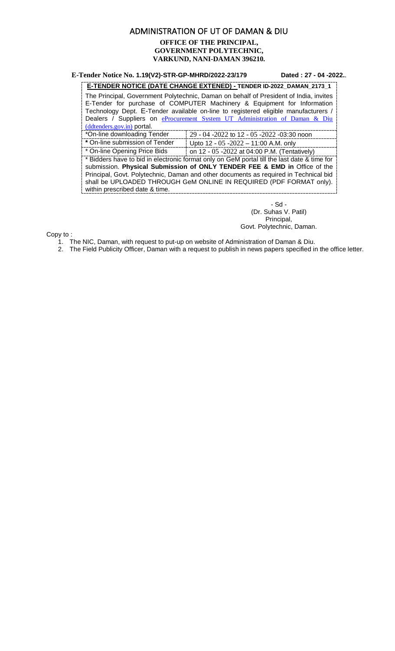### ADMINISTRATION OF UT OF DAMAN & DIU **OFFICE OF THE PRINCIPAL, GOVERNMENT POLYTECHNIC, VARKUND, NANI-DAMAN 396210***.*

#### **E-Tender Notice No. 1.19(V2)-STR-GP-MHRD/2022-23/179 Dated : 27 - 04 -2022.**.

#### **E-TENDER NOTICE (DATE CHANGE EXTENED) - TENDER ID-2022\_DAMAN\_2173\_1**

The Principal, Government Polytechnic, Daman on behalf of President of India, invites E-Tender for purchase of COMPUTER Machinery & Equipment for Information Technology Dept. E-Tender available on-line to registered eligible manufacturers / Dealers / Suppliers on eProcurement System UT Administration of Daman & Diu [\(ddtenders.gov.in\)](https://ddtenders.gov.in/nicgep/app) portal.

| *On-line downloading Tender    | $29 - 04 - 2022$ to 12 - 05 -2022 -03:30 noon               |
|--------------------------------|-------------------------------------------------------------|
| * On-line submission of Tender | Upto 12 - 05 -2022 - 11:00 A.M. only                        |
| * On line Onesing Drice Bide   | $\sim$ 40 05 0000 $\sim$ 04:00 D M $\sqrt{T}$ at $\sim$ 4.0 |

On-line Opening Price Bids on 12 - 05 -2022 at 04:00 P.M. (Tentatively) \* Bidders have to bid in electronic format only on GeM portal till the last date & time for submission. **Physical Submission of ONLY TENDER FEE & EMD in** Office of the Principal, Govt. Polytechnic, Daman and other documents as required in Technical bid shall be UPLOADED THROUGH GeM ONLINE IN REQUIRED (PDF FORMAT only). within prescribed date & time.

> - Sd - (Dr. Suhas V. Patil) Principal, Govt. Polytechnic, Daman.

Copy to :

1. The NIC, Daman, with request to put-up on website of Administration of Daman & Diu.

2. The Field Publicity Officer, Daman with a request to publish in news papers specified in the office letter.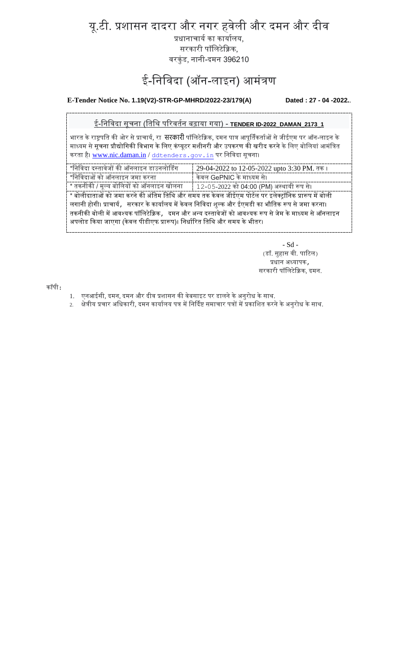यू.टी. प्रशासन दादरा और नगर हवेली और दमन और दीव

प्रधानाचार्य का कार्यालय, सरकारी पॉलिटेक्निक, वरकुंड, नानी-दमन 396210

# ई-निविदा (ऑन-लाइन) आमंत्रण

**E-Tender Notice No. 1.19(V2)-STR-GP-MHRD/2022-23/179(A) Dated : 27 - 04 -2022.**.

ई-लनलवदा सूचना (लिलि पररवियन बढाया गया) - **TENDER ID-2022\_DAMAN\_2173\_1**

भारत के राष्ट्रपति की ओर से प्राचार्य, रा **सरकारी** पॉलिटेक्निक, दमन पात्र आपूर्तिकर्ताओं से जीईएम पर ऑन-लाइन के माध्यम से सूचना प्रौद्योगिकी विभाग के लिए कंप्यूटर मशीनरी और उपकरण की खरीद करने के लिए बोलियां आमंत्रित करता है। [www.nic.daman.in](http://www.nic.daman.in/) / [ddtenders.gov.in](https://ddtenders.gov.in/nicgep/app) पर निविदा सूचना।

| *निविदा दस्तावेजों की ऑनलाइन डाउनलोडिंग  | 29-04-2022 to 12-05-2022 upto 3:30 PM. तक। |
|------------------------------------------|--------------------------------------------|
| *निविदाओं को ऑनलाइन जमा करना             | केवल GePNIC के माध्यम से।                  |
| * तकनीकी / मूल्य बोलियों को ऑनलाइन खोलना | 12-05-2022 को 04:00 (PM) अस्थायी रूप से।   |

 $^{\ast}$  बोलीदाताओं को जमा करने की अंतिम तिथि और समय तक केवल जीईएम पोर्टल पर इलेक्ट्रॉनिक प्रारूप में बोली लगानी होगी। प्राचार्य, सरकार के कार्यालय में केवल निविदा शुल्क और ईएमडी का भौतिक रूप से जमा करना। तकनीकी बोली में आवश्यक पॉलिटेक्निक, दमन और अन्य दस्तावेजों को आवश्यक रूप से जेम के माध्यम से ऑनलाइन अपलोड किया जाएगा (केवल पीडीएफ प्रारूप)। निर्धारित तिथि और समय के भीतर।

> - Sd - (डॉ. सुहास वी. पाटिल) प्रधान अध्यापक, सरकारी पॉललटेक्निक, दमन.

कॉपी:

- 1. एनआईसी, दमन, दमन और दीव प्रशासन की वेबसाइट पर डालने के अनुरोध के साथ.
- 2. क्षेत्रीय प्रचार अधिकारी, दमन कार्यालय पत्र में निर्दिष्ट समाचार पत्रों में प्रकाशित करने के अनुरोध के साथ.